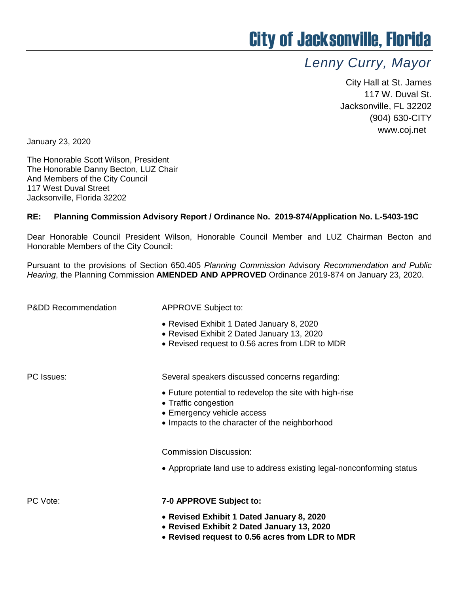## City of Jacksonville, Florida

## *Lenny Curry, Mayor*

City Hall at St. James 117 W. Duval St. Jacksonville, FL 32202 (904) 630-CITY www.coj.net

January 23, 2020

The Honorable Scott Wilson, President The Honorable Danny Becton, LUZ Chair And Members of the City Council 117 West Duval Street Jacksonville, Florida 32202

## **RE: Planning Commission Advisory Report / Ordinance No. 2019-874/Application No. L-5403-19C**

Dear Honorable Council President Wilson, Honorable Council Member and LUZ Chairman Becton and Honorable Members of the City Council:

Pursuant to the provisions of Section 650.405 *Planning Commission* Advisory *Recommendation and Public Hearing*, the Planning Commission **AMENDED AND APPROVED** Ordinance 2019-874 on January 23, 2020.

P&DD Recommendation APPROVE Subject to:

- Revised Exhibit 1 Dated January 8, 2020
- Revised Exhibit 2 Dated January 13, 2020
- Revised request to 0.56 acres from LDR to MDR

PC Issues: Several speakers discussed concerns regarding:

- Future potential to redevelop the site with high-rise
- Traffic congestion
- Emergency vehicle access
- Impacts to the character of the neighborhood

Commission Discussion:

Appropriate land use to address existing legal-nonconforming status

## PC Vote: **7-0 APPROVE Subject to:**

- **Revised Exhibit 1 Dated January 8, 2020**
- **Revised Exhibit 2 Dated January 13, 2020**
- **Revised request to 0.56 acres from LDR to MDR**